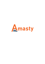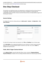For more details see the [One Step Checkout](https://amasty.com/single-step-checkout.html) extension page.

# **One Step Checkout**

The extension can significantly reduce cart abandonment, combining the entire purchase process on a single page. The whole checkout flow with various steps is simplified to a handy page with customizable sections and fields. Among its prominent features there are Google address suggest and freindly guest checkout.

## **General Settings**

To configure the extension settings please go to **Admin panel → System → Configuration → One Step Checkout**.

| <b>General</b> |                                                              |                     |
|----------------|--------------------------------------------------------------|---------------------|
| Enable         | Yes<br>÷                                                     | [STORE VIEW]        |
| Heading        | Checkout                                                     | [STORE VIEW]        |
| Title          | Express checkout lane                                        | <b>ISTORE VIEWI</b> |
| Description    | Please enter your details below to complete your<br>purchase | <b>ISTORE VIEWI</b> |
|                |                                                              |                     |
|                | $\mathbb{I}^{\frac{1}{4}}$<br>A HTML allowed                 |                     |

For better SEO rankings include main keywords in the **Title** and **Heading** of your checkout page.

In the **Description**, set an appropriate guidelines for your customers on various issues concerning taxes (e.g. VAT) or any other payment aspects, specific for your state. You can use **<html>** to highlight the important points.

## **Fields, Which Trigger Checkout Refresh**

In the **Address Fields**, choose the fields after filling in which, the data in **Shipping Methods**, Payment Methods (if enabled) will be accordingly refreshed (without full checkout page reloading).

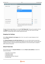| Fields, Which Trigger Checkout Refresh |                                                         |                          |          |
|----------------------------------------|---------------------------------------------------------|--------------------------|----------|
| <b>Address Fields</b>                  |                                                         | 止                        | [GLOBAL] |
|                                        | Address                                                 |                          |          |
|                                        | City                                                    |                          |          |
|                                        | State/Province                                          |                          |          |
|                                        | Zip/Postal Code                                         |                          |          |
|                                        | Country                                                 |                          |          |
|                                        |                                                         |                          |          |
|                                        |                                                         |                          |          |
|                                        |                                                         |                          |          |
|                                        |                                                         |                          |          |
|                                        |                                                         | $\overline{\phantom{a}}$ |          |
|                                        |                                                         |                          |          |
| Shipping Methods                       | Yes                                                     | $\overline{\phantom{a}}$ | [GLOBAL] |
| Payment Methods                        | Yes                                                     | ×.                       | [GLOBAL] |
|                                        |                                                         |                          |          |
| Fast Page Load                         | No                                                      | $\sim$                   | [GLOBAL] |
|                                        | A Customers will see address sections right away, while |                          |          |
|                                        | other sections (shipping, payment) will be loaded a bit |                          |          |
|                                        | later with AJAX.                                        |                          |          |

To boost checkout page loading, you can enable **Fast Page Load**. This way, the customers will see the **Billing** section loaded instantly, and other sections will load short after (without full page reloading). This AJAX plugin offers smoother page performance.

## **Shopping Cart Settings**

Set the **Move checkout to cart page** option to Yes, if you want to couple shopping cart and checkout pages.

With **Merge Shopping cart with Order Review** option, you can simply make the review block editable and thus save space by combining the shopping cart block with review. This also means the customers will skip to checkout right after adding products to cart and will be able to complete it within minimum time period.

## **Default Fields Data**

Set the default option for **Payment Method** and activate **Ship to same address** to hasten the checkout procedure.

- Auto-Select: First Available
- Credit Card (saved)
- Check/Money Order
- No Payment Information Required
- Purchase Order

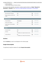- Cash On Delivery
- PayPal Mobile Express Checkout Library

You can also make newsletter subscription checkbox signed by default, set **Select "Sign Up for Newsletter" checkbox** to Yes. [See how to enable Newsletter Subscription in Visual options](https://staging.amasty.com/docs/doku.php?id=magento_1:one_step_checkout#visual_options)

| <b>Shopping Cart Settings</b>                                                         |                                                                    |                                                                      |                                                            |
|---------------------------------------------------------------------------------------|--------------------------------------------------------------------|----------------------------------------------------------------------|------------------------------------------------------------|
| Move checkout to cart page<br>Merge shopping cart with order<br>review                | Yes<br>Yes                                                         | $\overline{\phantom{a}}$<br>$\overline{\phantom{a}}$                 | [STORE VIEW]<br><b>ISTORE VIEWI</b>                        |
| <b>Default Fields Data</b>                                                            |                                                                    |                                                                      |                                                            |
| Payment Method<br>Ship to same address<br>Select "Sign Up for Newsletter"<br>checkbox | First available<br>Yes<br>No                                       | ÷<br>$\blacktriangledown$<br>$\overline{\phantom{a}}$                | <b>ISTORE VIEWI</b><br>[STORE VIEW]<br><b>ISTORE VIEWI</b> |
| <b>Sections</b>                                                                       |                                                                    |                                                                      |                                                            |
| <b>Discount Codes</b><br>Gift Card<br>Amasty Gift Card                                | Yes<br>No<br>A Available only for magento enterprise version<br>No | $\blacktriangledown$<br>$\blacktriangledown$<br>$\blacktriangledown$ | <b>ISTORE VIEWI</b><br><b>ISTORE VIEWI</b><br>[STORE VIEW] |
|                                                                                       | A Available only for Amasty Gift Card Extension                    |                                                                      |                                                            |

## **Sections**

Add the **Sections** you want to be displayed on the checkout page.

## **Google Autocomplete**

To significantly simplify the address fill, enable **Google Autocomplete**.

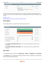| <b>Google Autocomplete</b> |                                                                                  |              |
|----------------------------|----------------------------------------------------------------------------------|--------------|
| Enable                     | Yes<br>v                                                                         | [STORE VIEW] |
| API key                    | YOUR_API_KEY                                                                     | [STORE VIEW] |
|                            | A Required for address autocomplete to work. Click here<br>for more information. |              |

The feature will not be available without API key. The settings may appear somewhat complex, but once you all set, you have a convenient feature, that makes address fill procedure simplified to couple of clicks.

[Get API key here.](https://developers.google.com/maps/documentation/javascript/get-api-key) [Check for more information on Google Autocomplete feature.](https://developers.google.com/maps/documentation/javascript/examples/places-autocomplete-addressform)

## **Visual Options**

These settings allow you to customize the checkout page as you want.

| <b>Visual Options</b>        |                                                         |                     |
|------------------------------|---------------------------------------------------------|---------------------|
| Theme Color                  | 48C27C                                                  | [STORE VIEW]        |
| <b>Text Color</b>            | 000001                                                  | <b>ISTORE VIEWI</b> |
| <b>Button Color</b>          | F26222                                                  | <b>ISTORE VIEWI</b> |
| <b>Font Family</b>           | A for example: Georgia, 'Times New Roman', Times, serif | <b>ISTORE VIEWI</b> |
| Show Thumbnail On Review     | Yes<br>$\blacktriangledown$                             | <b>ISTORE VIEWI</b> |
| Show Newsletter Subscription | Yes<br>×.                                               | <b>ISTORE VIEWI</b> |
| <b>Thumbnail Size</b>        | 40                                                      | <b>ISTORE VIEWI</b> |

- Enable **Show Thumbnail On Review** and set a size to display product thumbnails on the review step.
- Enable **Show Newsletter Subscription** to let customers subscribe to newsletter during checkout.

## **Geo IP Data**

To configure Geo IP option, please, go to **Admin panel → System → Configuration → Geo Ip Data**.

At the **Geo IP** tab you can enable the Geo IP option. When the option is enabled, Country field will be filled in automatically during checkout.

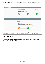#### Click Download and Import.

| <b>Download and Import</b> |                                                   |              |
|----------------------------|---------------------------------------------------|--------------|
|                            | <b>Download and Import</b><br>盀                   | [STORE VIEW] |
|                            | Last Imported: 2016-11-17 15:18:02                |              |
|                            |                                                   |              |
|                            | Download<br>Import                                | Completed    |
| <b>Import</b>              |                                                   |              |
|                            | <b>Import</b>                                     | [STORE VIEW] |
|                            | 盀<br>Last Imported:                               |              |
|                            | var/amasty/geoip/GeoLite2-City-Blocks-IPv4.csv X  |              |
|                            | var/amasty/geoip/GeoLite2-City-Locations-en.csv X |              |
|                            |                                                   |              |
|                            | Completed<br>Import                               |              |

Sometimes it happens that the import is stuck in the middle of the process. It's a common issue, and there is a solution for it. [Read our article and learn how to import Geo IP database properly.](https://blog.amasty.com/little-known-amasty-extensions-features-geoip-data-import/)

## **Credit Card Detector**

Open the **Credit Card Detector** tab to configure card icons display. (**Admin panel → System → Configuration → Credit Card Detector**.)

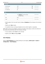| <b>Card Type</b> |                                                                 |                     |
|------------------|-----------------------------------------------------------------|---------------------|
| Hide dropdown    | Yes<br>×.                                                       | [STORE VIEW]        |
| Show icons       | Yes<br>Ψ.                                                       | <b>ISTORE VIEWI</b> |
| Icon width (px)  | 70                                                              | [STORE VIEW]        |
|                  |                                                                 |                     |
| <b>Visa</b>      |                                                                 |                     |
| <b>Icon</b>      | No file selected.<br>Browse<br><b>VISA</b><br>Delete Image<br>г | [STORE VIEW]        |
| Title            | Visa                                                            | [STORE VIEW]        |
| Order            | 10                                                              | [STORE VIEW]        |

- Set the option to Yes if you don't want to display a **Dropdown** with card types on the checkout page.
- Specify icons' **Size** in pixels.
- It's possible to show a card types dropdown and icons either together or separately.

NOTE: When card icons are enabled a customer just needs to start typing a credit card number and the module will automatically select the necessary card type.

- You can upload a custom **Icon** for each card type.
- Specify a card's **Title** and display **Order**.

## **Auto Shipping**

Open the **Auto Shipping** tab to manage settings for auto shipping. (**Admin panel → System → Configuration → Auto Shipping**.)

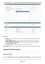| <b>General</b>                                                                                  |                                                                                | $\bullet$                                                    |
|-------------------------------------------------------------------------------------------------|--------------------------------------------------------------------------------|--------------------------------------------------------------|
| Enable<br>Default shipping method<br>If default method is not available<br>Not Auto-fill Fields | Yes<br>▼<br>▼<br>Choose the cheapest<br>▼<br><b>State</b><br>A.<br>ZIP<br>City | [STORE VIEW]<br>[STORE VIEW]<br>[STORE VIEW]<br>[STORE VIEW] |
| <b>Geolocation</b>                                                                              |                                                                                | $\bullet$                                                    |
| Use Geo IP                                                                                      | No<br>$\overline{\mathbf{v}}$ .                                                | [WEBSITE]                                                    |
| <b>Default Address</b>                                                                          |                                                                                | $\bullet$                                                    |
| Country<br><b>State</b><br>City<br>ZIP                                                          | --Please Select--<br>▼<br>Florida<br>123 6th St. Melbourne                     | [STORE VIEW]<br>[STORE VIEW]<br>[STORE VIEW]<br>[STORE VIEW] |

#### **General** Tab:

- **Enable** field Set the option to Yes if you want to display a default shipping method on the checkout page.
- **Default shipping method** choose a shipping method you would like to set by default
- **If default method is not available** choose the way shipping method will be selected if it hasn't been chosen by default
- **Not Auto-fill Fields** choose the fields that you want to leave empty

**Default Address** Tab - fill in the fields with the text you would like to be displayed as an example.

## **Manage One Step Checkout**

## **Labels and Layout**

Please go to Admin panel → System → Amasty One Step Checkout to configure display of fields

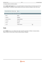in checkout blocks and other options.

At the **Labels and Layout** tab you can specify labels for checkout blocks and choose layout for the checkout page. It is possible to specify labels and all other extension settings for each store view.

| Choose Store View: All Store Views             | $\blacksquare$ $\odot$                           |
|------------------------------------------------|--------------------------------------------------|
| Specify checkout block names and choose layout |                                                  |
| <b>Billing</b>                                 | Billing                                          |
| Shipping                                       | Shipping                                         |
| Shipping Method                                | Shipping Method                                  |
| Payment                                        | Payment                                          |
| Review                                         | Review                                           |
| Layout                                         | <b>Three Columns</b><br>$\overline{\phantom{a}}$ |

## **Fields**

At the **Fields** tab you can configure the order and other parameters of fields in checkout blocks. Please choose for which block to edit the fields, Billing or Shipping.

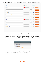

- To change display order for a field just drag the field to the right position.
- It is possible to edit label for each field.
- In Placement column you can specify in percent how much space each field will take in a line. E.g. **Last Name** field will take 50% of a line. If you specify 100, the field will occupy the whole line.

| <b>Fields</b> |               |  |
|---------------|---------------|--|
| Custom field2 |               |  |
| Custom field3 | <b>Submit</b> |  |

**Add fields**. With Add fields button, either in Shipping and Billing sections, you can add up to three new fields. Set a label name, a placement, and length. E.g. Include additional fields, that in your view, can be appropriate like e-mail or note to seller.

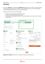# **Frontend**

As you see, **checkout** is combined with **shopping cart** page and is very compact. Customers need to fill in just one page and the order is complete. To save additional space, you can remove shopping cart and enable editing of products in cart on order review step.

Customers can log in right on the checkout page.

- To login as a guest, customers need only an e-mail.
- To sign up, they should simply add a password.
- If a customer is already registered, there is a second tab Login in your account, with e-mail and password fields.

| <b>EXPRESS CHECKOUT LANE</b><br>Please enter your details below to complete your purchase<br><b>Checkout as guest</b> Login in your account<br>To checkout as a guest add your email below<br>Email 1<br>To register an account simply add a<br>password | Email 1<br>Password                                          | <b>EXPRESS CHECKOUT LANE</b><br>Please enter your details below to complete your purchase<br><b>Exection that as guest</b> Login in your account<br>Login in your account by adding your details below | ----------------                                             |
|----------------------------------------------------------------------------------------------------------------------------------------------------------------------------------------------------------------------------------------------------------|--------------------------------------------------------------|--------------------------------------------------------------------------------------------------------------------------------------------------------------------------------------------------------|--------------------------------------------------------------|
| Billing                                                                                                                                                                                                                                                  |                                                              | <b>Shipping Method</b>                                                                                                                                                                                 | <b>Review</b><br>ு                                           |
| Last Name."<br>First Name 1                                                                                                                                                                                                                              | <b>Free Shipping</b>                                         |                                                                                                                                                                                                        | Product Name Price Qty Subtotal<br>Aviator                   |
| Chee<br>Kip<br>Company                                                                                                                                                                                                                                   | <sup>®</sup> Free \$0.00                                     |                                                                                                                                                                                                        | Sunglasses \$295.00 1<br>$$295.00 \times$                    |
|                                                                                                                                                                                                                                                          | <b>Flat Rate</b>                                             |                                                                                                                                                                                                        | Subtotal \$295.00                                            |
| Address <sup>®</sup>                                                                                                                                                                                                                                     | <sup>©</sup> Fixed \$5.00                                    |                                                                                                                                                                                                        | Shipping & Handling (Free<br>\$0.00<br>Shipping - Free)      |
|                                                                                                                                                                                                                                                          | YOUR ORDER?                                                  | DO YOU HAVE ANY GIFT ITEMS IN                                                                                                                                                                          | Grand Total \$295.00                                         |
| State/Province 1<br>City "<br>Please select reg ▼                                                                                                                                                                                                        | Add gift options.                                            |                                                                                                                                                                                                        | Here you can place your Terms and<br>Conditions information. |
| Zip/Postal Code '<br>Country "<br><b>United States</b>                                                                                                                                                                                                   | <b>Payment</b><br>з                                          |                                                                                                                                                                                                        | Il agree to Terms & Conditions                               |
| Telephone<br>Fax                                                                                                                                                                                                                                         | <sup>®</sup> Cash On Delivery<br><sup>©</sup> Purchase Order |                                                                                                                                                                                                        | Sign Up for Newsletter                                       |
| e-mail                                                                                                                                                                                                                                                   | Check / Money order<br>Credit Card (saved)                   |                                                                                                                                                                                                        | <b>Place Order</b>                                           |
| Ship to this address<br>Ship to different address                                                                                                                                                                                                        | %                                                            | <b>Discount Codes</b><br>Enter your coupon code if you have one.<br><b>Apply</b>                                                                                                                       |                                                              |

**Registered customers** will have their checkout information filled automatically.

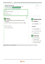

**Google Address Autocomplete** significantly ease the checkout procedure for customers.

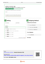|                                              | <b>Checkout as guest</b> Login in your account |                              |
|----------------------------------------------|------------------------------------------------|------------------------------|
| To checkout as a guest add your email below  |                                                |                              |
| Fmail *                                      |                                                |                              |
|                                              |                                                |                              |
| To register an account simply add a password |                                                |                              |
|                                              |                                                |                              |
|                                              |                                                |                              |
| <b>Billing</b>                               |                                                | <b>Shipping Method</b><br>2  |
| <b>First Name</b>                            |                                                | <b>United Parcel Service</b> |
|                                              | Last Name                                      |                              |
|                                              |                                                | <b>Ground \$10.49</b><br>◎   |
|                                              |                                                |                              |
|                                              |                                                | O<br>3 Day Select \$23.80    |
| Moody AL 35004, United States                |                                                | O<br>Next Day Air \$69.32    |
| 35004 Las Palmas de Gran Canaria, Spain      |                                                |                              |
| 350049 Russia, 350049                        |                                                | <b>Free Shipping</b>         |
| Address<br>35004<br>350042 Russia, 350042    |                                                | Free \$0.00                  |

From: <https://amasty.com/docs/> - **Amasty Extensions FAQ**

Permanent link: **[https://amasty.com/docs/doku.php?id=magento\\_1:one\\_step\\_checkout](https://amasty.com/docs/doku.php?id=magento_1:one_step_checkout)**

**Amasty** 



Last update: **2017/06/01 12:01**